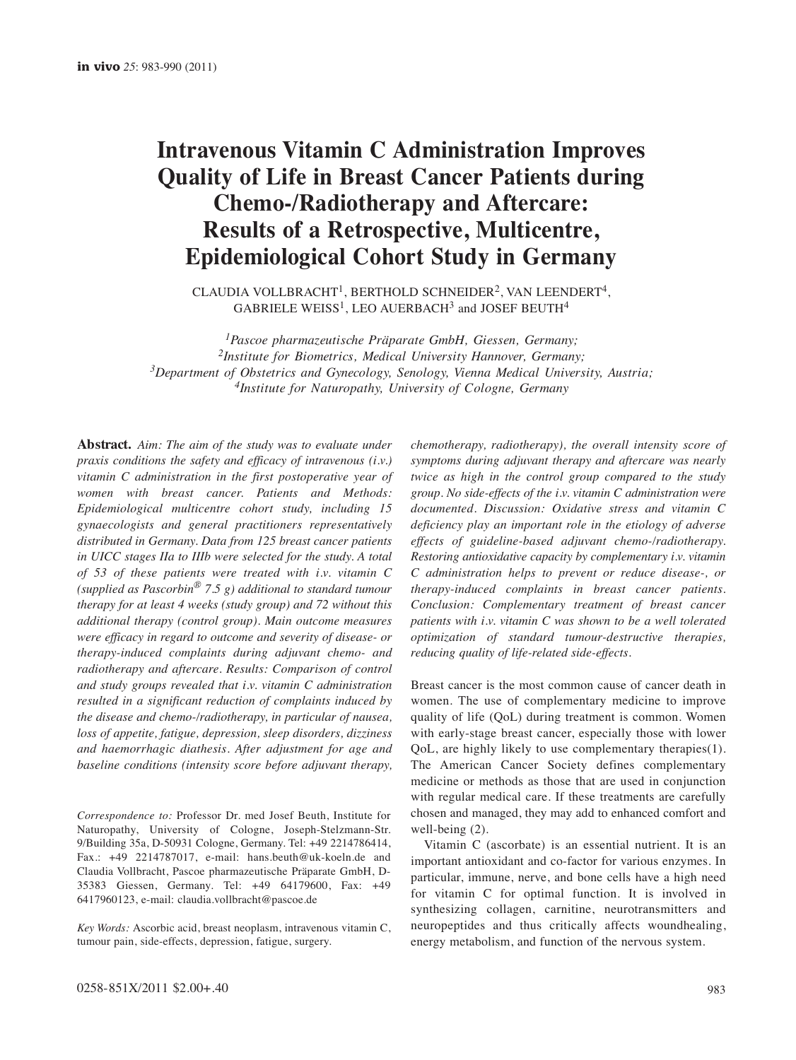# **Intravenous Vitamin C Administration Improves Quality of Life in Breast Cancer Patients during Chemo-/Radiotherapy and Aftercare: Results of a Retrospective, Multicentre, Epidemiological Cohort Study in Germany**

CLAUDIA VOLLBRACHT<sup>1</sup>, BERTHOLD SCHNEIDER<sup>2</sup>, VAN LEENDERT<sup>4</sup>,  $GABRIELE WEISS<sup>1</sup>$ , LEO AUERBACH<sup>3</sup> and JOSEF BEUTH<sup>4</sup>

*1Pascoe pharmazeutische Präparate GmbH, Giessen, Germany; 2Institute for Biometrics, Medical University Hannover, Germany; 3Department of Obstetrics and Gynecology, Senology, Vienna Medical University, Austria; 4Institute for Naturopathy, University of Cologne, Germany*

**Abstract.** *Aim: The aim of the study was to evaluate under praxis conditions the safety and efficacy of intravenous (i.v.) vitamin C administration in the first postoperative year of women with breast cancer. Patients and Methods: Epidemiological multicentre cohort study, including 15 gynaecologists and general practitioners representatively distributed in Germany. Data from 125 breast cancer patients in UICC stages IIa to IIIb were selected for the study. A total of 53 of these patients were treated with i.v. vitamin C (supplied as Pascorbin® 7.5 g) additional to standard tumour therapy for at least 4 weeks (study group) and 72 without this additional therapy (control group). Main outcome measures were efficacy in regard to outcome and severity of disease- or therapy-induced complaints during adjuvant chemo- and radiotherapy and aftercare. Results: Comparison of control and study groups revealed that i.v. vitamin C administration resulted in a significant reduction of complaints induced by the disease and chemo-/radiotherapy, in particular of nausea, loss of appetite, fatigue, depression, sleep disorders, dizziness and haemorrhagic diathesis. After adjustment for age and baseline conditions (intensity score before adjuvant therapy,*

*Correspondence to:* Professor Dr. med Josef Beuth, Institute for Naturopathy, University of Cologne, Joseph-Stelzmann-Str. 9/Building 35a, D-50931 Cologne, Germany. Tel: +49 2214786414, Fax.: +49 2214787017, e-mail: hans.beuth@uk-koeln.de and Claudia Vollbracht, Pascoe pharmazeutische Präparate GmbH, D-35383 Giessen, Germany. Tel: +49 64179600, Fax: +49 6417960123, e-mail: claudia.vollbracht@pascoe.de

*Key Words:* Ascorbic acid, breast neoplasm, intravenous vitamin C, tumour pain, side-effects, depression, fatigue, surgery.

*chemotherapy, radiotherapy), the overall intensity score of symptoms during adjuvant therapy and aftercare was nearly twice as high in the control group compared to the study group. No side-effects of the i.v. vitamin C administration were documented. Discussion: Oxidative stress and vitamin C deficiency play an important role in the etiology of adverse effects of guideline-based adjuvant chemo-/radiotherapy. Restoring antioxidative capacity by complementary i.v. vitamin C administration helps to prevent or reduce disease-, or therapy-induced complaints in breast cancer patients. Conclusion: Complementary treatment of breast cancer patients with i.v. vitamin C was shown to be a well tolerated optimization of standard tumour-destructive therapies, reducing quality of life-related side-effects.*

Breast cancer is the most common cause of cancer death in women. The use of complementary medicine to improve quality of life (QoL) during treatment is common. Women with early-stage breast cancer, especially those with lower QoL, are highly likely to use complementary therapies(1). The American Cancer Society defines complementary medicine or methods as those that are used in conjunction with regular medical care. If these treatments are carefully chosen and managed, they may add to enhanced comfort and well-being (2).

Vitamin C (ascorbate) is an essential nutrient. It is an important antioxidant and co-factor for various enzymes. In particular, immune, nerve, and bone cells have a high need for vitamin C for optimal function. It is involved in synthesizing collagen, carnitine, neurotransmitters and neuropeptides and thus critically affects woundhealing, energy metabolism, and function of the nervous system.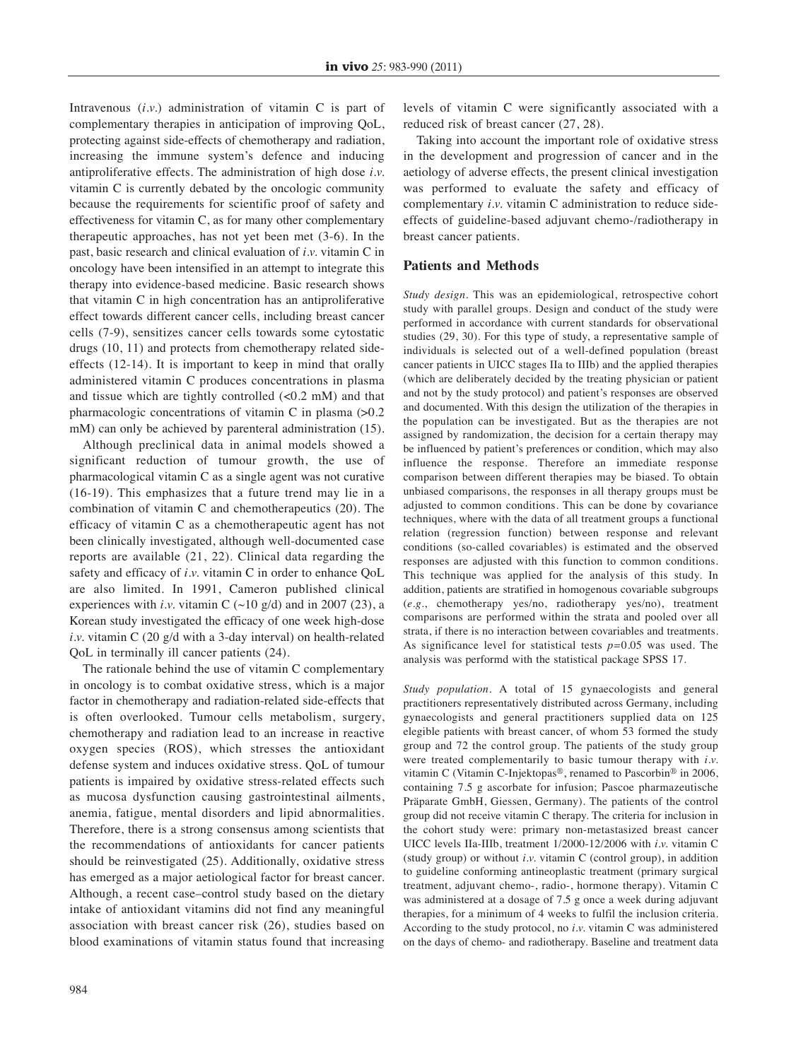Intravenous (*i.v.*) administration of vitamin C is part of complementary therapies in anticipation of improving QoL, protecting against side-effects of chemotherapy and radiation, increasing the immune system's defence and inducing antiproliferative effects. The administration of high dose *i.v.* vitamin C is currently debated by the oncologic community because the requirements for scientific proof of safety and effectiveness for vitamin C, as for many other complementary therapeutic approaches, has not yet been met (3-6). In the past, basic research and clinical evaluation of *i.v.* vitamin C in oncology have been intensified in an attempt to integrate this therapy into evidence-based medicine. Basic research shows that vitamin C in high concentration has an antiproliferative effect towards different cancer cells, including breast cancer cells (7-9), sensitizes cancer cells towards some cytostatic drugs (10, 11) and protects from chemotherapy related sideeffects (12-14). It is important to keep in mind that orally administered vitamin C produces concentrations in plasma and tissue which are tightly controlled  $(< 0.2$  mM) and that pharmacologic concentrations of vitamin C in plasma (>0.2 mM) can only be achieved by parenteral administration (15).

Although preclinical data in animal models showed a significant reduction of tumour growth, the use of pharmacological vitamin C as a single agent was not curative (16-19). This emphasizes that a future trend may lie in a combination of vitamin C and chemotherapeutics (20). The efficacy of vitamin C as a chemotherapeutic agent has not been clinically investigated, although well-documented case reports are available (21, 22). Clinical data regarding the safety and efficacy of *i.v.* vitamin C in order to enhance QoL are also limited. In 1991, Cameron published clinical experiences with *i.v.* vitamin C  $(\sim 10 \text{ g/d})$  and in 2007 (23), a Korean study investigated the efficacy of one week high-dose *i.v.* vitamin C (20 g/d with a 3-day interval) on health-related QoL in terminally ill cancer patients (24).

The rationale behind the use of vitamin C complementary in oncology is to combat oxidative stress, which is a major factor in chemotherapy and radiation-related side-effects that is often overlooked. Tumour cells metabolism, surgery, chemotherapy and radiation lead to an increase in reactive oxygen species (ROS), which stresses the antioxidant defense system and induces oxidative stress. QoL of tumour patients is impaired by oxidative stress-related effects such as mucosa dysfunction causing gastrointestinal ailments, anemia, fatigue, mental disorders and lipid abnormalities. Therefore, there is a strong consensus among scientists that the recommendations of antioxidants for cancer patients should be reinvestigated (25). Additionally, oxidative stress has emerged as a major aetiological factor for breast cancer. Although, a recent case–control study based on the dietary intake of antioxidant vitamins did not find any meaningful association with breast cancer risk (26), studies based on blood examinations of vitamin status found that increasing

levels of vitamin C were significantly associated with a reduced risk of breast cancer (27, 28).

Taking into account the important role of oxidative stress in the development and progression of cancer and in the aetiology of adverse effects, the present clinical investigation was performed to evaluate the safety and efficacy of complementary *i.v.* vitamin C administration to reduce sideeffects of guideline-based adjuvant chemo-/radiotherapy in breast cancer patients.

#### **Patients and Methods**

*Study design.* This was an epidemiological, retrospective cohort study with parallel groups. Design and conduct of the study were performed in accordance with current standards for observational studies (29, 30). For this type of study, a representative sample of individuals is selected out of a well-defined population (breast cancer patients in UICC stages IIa to IIIb) and the applied therapies (which are deliberately decided by the treating physician or patient and not by the study protocol) and patient's responses are observed and documented. With this design the utilization of the therapies in the population can be investigated. But as the therapies are not assigned by randomization, the decision for a certain therapy may be influenced by patient's preferences or condition, which may also influence the response. Therefore an immediate response comparison between different therapies may be biased. To obtain unbiased comparisons, the responses in all therapy groups must be adjusted to common conditions. This can be done by covariance techniques, where with the data of all treatment groups a functional relation (regression function) between response and relevant conditions (so-called covariables) is estimated and the observed responses are adjusted with this function to common conditions. This technique was applied for the analysis of this study. In addition, patients are stratified in homogenous covariable subgroups (*e.g.*, chemotherapy yes/no, radiotherapy yes/no), treatment comparisons are performed within the strata and pooled over all strata, if there is no interaction between covariables and treatments. As significance level for statistical tests *p=*0.05 was used. The analysis was performd with the statistical package SPSS 17.

*Study population.* A total of 15 gynaecologists and general practitioners representatively distributed across Germany, including gynaecologists and general practitioners supplied data on 125 elegible patients with breast cancer, of whom 53 formed the study group and 72 the control group. The patients of the study group were treated complementarily to basic tumour therapy with *i.v.* vitamin C (Vitamin C-Injektopas®, renamed to Pascorbin® in 2006, containing 7.5 g ascorbate for infusion; Pascoe pharmazeutische Präparate GmbH, Giessen, Germany). The patients of the control group did not receive vitamin C therapy. The criteria for inclusion in the cohort study were: primary non-metastasized breast cancer UICC levels IIa-IIIb, treatment 1/2000-12/2006 with *i.v.* vitamin C (study group) or without *i.v.* vitamin C (control group), in addition to guideline conforming antineoplastic treatment (primary surgical treatment, adjuvant chemo-, radio-, hormone therapy). Vitamin C was administered at a dosage of 7.5 g once a week during adjuvant therapies, for a minimum of 4 weeks to fulfil the inclusion criteria. According to the study protocol, no *i.v.* vitamin C was administered on the days of chemo- and radiotherapy. Baseline and treatment data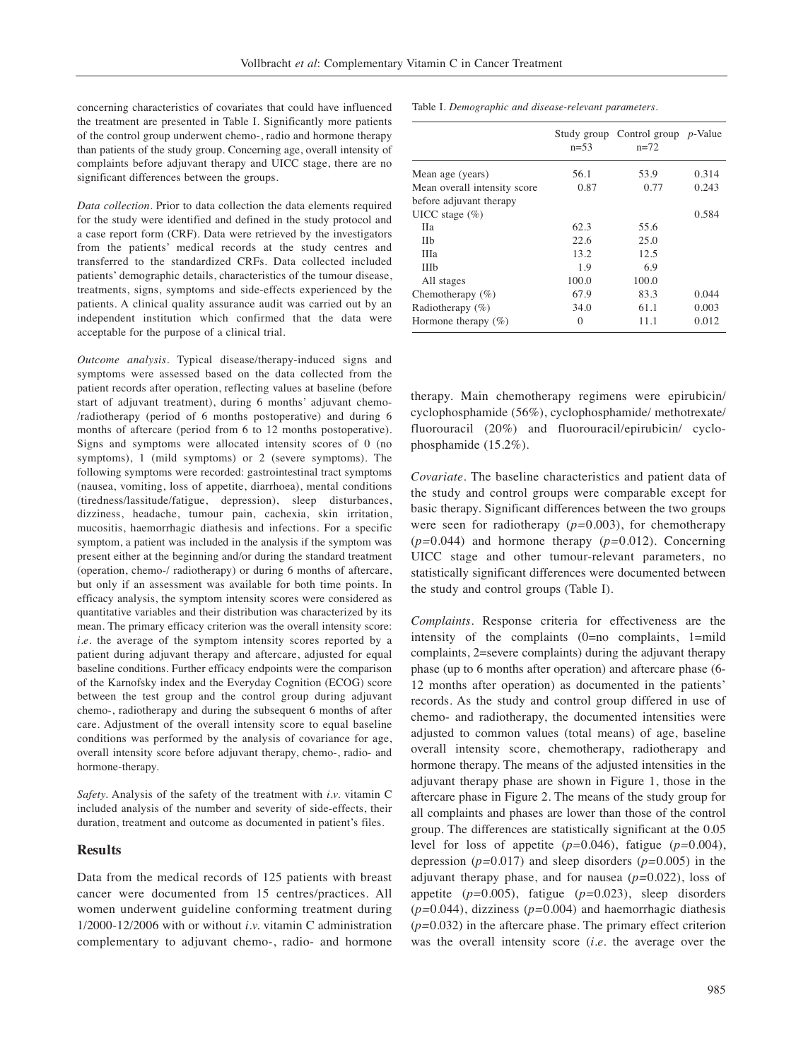concerning characteristics of covariates that could have influenced the treatment are presented in Table I. Significantly more patients of the control group underwent chemo-, radio and hormone therapy than patients of the study group. Concerning age, overall intensity of complaints before adjuvant therapy and UICC stage, there are no significant differences between the groups.

*Data collection.* Prior to data collection the data elements required for the study were identified and defined in the study protocol and a case report form (CRF). Data were retrieved by the investigators from the patients' medical records at the study centres and transferred to the standardized CRFs. Data collected included patients' demographic details, characteristics of the tumour disease, treatments, signs, symptoms and side-effects experienced by the patients. A clinical quality assurance audit was carried out by an independent institution which confirmed that the data were acceptable for the purpose of a clinical trial.

*Outcome analysis.* Typical disease/therapy-induced signs and symptoms were assessed based on the data collected from the patient records after operation, reflecting values at baseline (before start of adjuvant treatment), during 6 months' adjuvant chemo- /radiotherapy (period of 6 months postoperative) and during 6 months of aftercare (period from 6 to 12 months postoperative). Signs and symptoms were allocated intensity scores of 0 (no symptoms), 1 (mild symptoms) or 2 (severe symptoms). The following symptoms were recorded: gastrointestinal tract symptoms (nausea, vomiting, loss of appetite, diarrhoea), mental conditions (tiredness/lassitude/fatigue, depression), sleep disturbances, dizziness, headache, tumour pain, cachexia, skin irritation, mucositis, haemorrhagic diathesis and infections. For a specific symptom, a patient was included in the analysis if the symptom was present either at the beginning and/or during the standard treatment (operation, chemo-/ radiotherapy) or during 6 months of aftercare, but only if an assessment was available for both time points. In efficacy analysis, the symptom intensity scores were considered as quantitative variables and their distribution was characterized by its mean. The primary efficacy criterion was the overall intensity score: *i.e.* the average of the symptom intensity scores reported by a patient during adjuvant therapy and aftercare, adjusted for equal baseline conditions. Further efficacy endpoints were the comparison of the Karnofsky index and the Everyday Cognition (ECOG) score between the test group and the control group during adjuvant chemo-, radiotherapy and during the subsequent 6 months of after care. Adjustment of the overall intensity score to equal baseline conditions was performed by the analysis of covariance for age, overall intensity score before adjuvant therapy, chemo-, radio- and hormone-therapy.

*Safety.* Analysis of the safety of the treatment with *i.v.* vitamin C included analysis of the number and severity of side-effects, their duration, treatment and outcome as documented in patient's files.

#### **Results**

Data from the medical records of 125 patients with breast cancer were documented from 15 centres/practices. All women underwent guideline conforming treatment during 1/2000-12/2006 with or without *i.v.* vitamin C administration complementary to adjuvant chemo-, radio- and hormone Table I. *Demographic and disease-relevant parameters.* 

|                              | $n = 53$ | Study group Control group $p$ -Value<br>$n=72$ |       |
|------------------------------|----------|------------------------------------------------|-------|
| Mean age (years)             | 56.1     | 53.9                                           | 0.314 |
| Mean overall intensity score | 0.87     | 0.77                                           | 0.243 |
| before adjuvant therapy      |          |                                                |       |
| UICC stage $(\% )$           |          |                                                | 0.584 |
| Hа                           | 62.3     | 55.6                                           |       |
| <b>IIb</b>                   | 22.6     | 25.0                                           |       |
| <b>IIIa</b>                  | 13.2     | 12.5                                           |       |
| <b>IIIb</b>                  | 1.9      | 6.9                                            |       |
| All stages                   | 100.0    | 100.0                                          |       |
| Chemotherapy $(\% )$         | 67.9     | 83.3                                           | 0.044 |
| Radiotherapy (%)             | 34.0     | 61.1                                           | 0.003 |
| Hormone therapy $(\% )$      | $\Omega$ | 11.1                                           | 0.012 |

therapy. Main chemotherapy regimens were epirubicin/ cyclophosphamide (56%), cyclophosphamide/ methotrexate/ fluorouracil (20%) and fluorouracil/epirubicin/ cyclophosphamide (15.2%).

*Covariate.* The baseline characteristics and patient data of the study and control groups were comparable except for basic therapy. Significant differences between the two groups were seen for radiotherapy (*p=*0.003), for chemotherapy (*p=*0.044) and hormone therapy (*p=*0.012). Concerning UICC stage and other tumour-relevant parameters, no statistically significant differences were documented between the study and control groups (Table I).

*Complaints.* Response criteria for effectiveness are the intensity of the complaints (0=no complaints, 1=mild complaints, 2=severe complaints) during the adjuvant therapy phase (up to 6 months after operation) and aftercare phase (6- 12 months after operation) as documented in the patients' records. As the study and control group differed in use of chemo- and radiotherapy, the documented intensities were adjusted to common values (total means) of age, baseline overall intensity score, chemotherapy, radiotherapy and hormone therapy. The means of the adjusted intensities in the adjuvant therapy phase are shown in Figure 1, those in the aftercare phase in Figure 2. The means of the study group for all complaints and phases are lower than those of the control group. The differences are statistically significant at the 0.05 level for loss of appetite (*p=*0.046), fatigue (*p=*0.004), depression (*p=*0.017) and sleep disorders (*p=*0.005) in the adjuvant therapy phase, and for nausea (*p=*0.022), loss of appetite (*p=*0.005), fatigue (*p=*0.023), sleep disorders (*p=*0.044), dizziness (*p=*0.004) and haemorrhagic diathesis (*p=*0.032) in the aftercare phase. The primary effect criterion was the overall intensity score (*i.e.* the average over the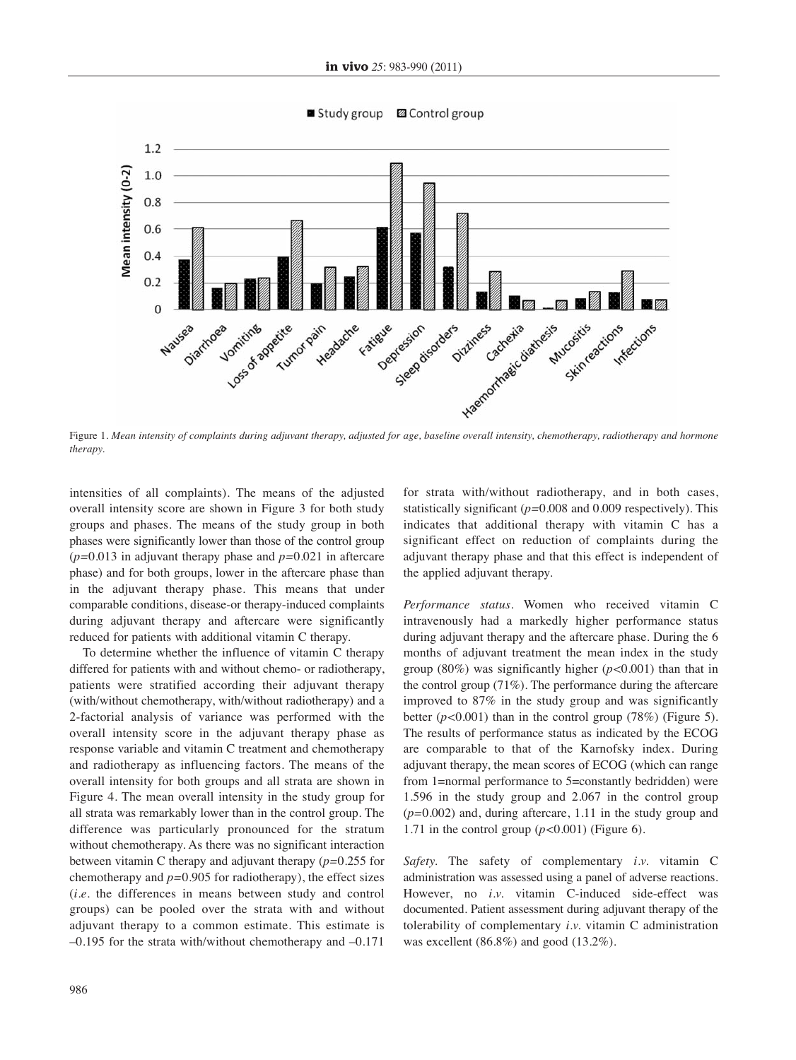

Figure 1. *Mean intensity of complaints during adjuvant therapy, adjusted for age, baseline overall intensity, chemotherapy, radiotherapy and hormone therapy.*

intensities of all complaints). The means of the adjusted overall intensity score are shown in Figure 3 for both study groups and phases. The means of the study group in both phases were significantly lower than those of the control group (*p=*0.013 in adjuvant therapy phase and *p=*0.021 in aftercare phase) and for both groups, lower in the aftercare phase than in the adjuvant therapy phase. This means that under comparable conditions, disease-or therapy-induced complaints during adjuvant therapy and aftercare were significantly reduced for patients with additional vitamin C therapy.

To determine whether the influence of vitamin C therapy differed for patients with and without chemo- or radiotherapy, patients were stratified according their adjuvant therapy (with/without chemotherapy, with/without radiotherapy) and a 2-factorial analysis of variance was performed with the overall intensity score in the adjuvant therapy phase as response variable and vitamin C treatment and chemotherapy and radiotherapy as influencing factors. The means of the overall intensity for both groups and all strata are shown in Figure 4. The mean overall intensity in the study group for all strata was remarkably lower than in the control group. The difference was particularly pronounced for the stratum without chemotherapy. As there was no significant interaction between vitamin C therapy and adjuvant therapy (*p=*0.255 for chemotherapy and *p=*0.905 for radiotherapy), the effect sizes (*i.e.* the differences in means between study and control groups) can be pooled over the strata with and without adjuvant therapy to a common estimate. This estimate is –0.195 for the strata with/without chemotherapy and –0.171 for strata with/without radiotherapy, and in both cases, statistically significant (*p=*0.008 and 0.009 respectively). This indicates that additional therapy with vitamin C has a significant effect on reduction of complaints during the adjuvant therapy phase and that this effect is independent of the applied adjuvant therapy.

*Performance status.* Women who received vitamin C intravenously had a markedly higher performance status during adjuvant therapy and the aftercare phase. During the 6 months of adjuvant treatment the mean index in the study group (80%) was significantly higher (*p<*0.001) than that in the control group (71%). The performance during the aftercare improved to 87% in the study group and was significantly better (*p<*0.001) than in the control group (78%) (Figure 5). The results of performance status as indicated by the ECOG are comparable to that of the Karnofsky index. During adjuvant therapy, the mean scores of ECOG (which can range from 1=normal performance to 5=constantly bedridden) were 1.596 in the study group and 2.067 in the control group (*p=*0.002) and, during aftercare, 1.11 in the study group and 1.71 in the control group (*p<*0.001) (Figure 6).

*Safety.* The safety of complementary *i.v.* vitamin C administration was assessed using a panel of adverse reactions. However, no *i.v.* vitamin C-induced side-effect was documented. Patient assessment during adjuvant therapy of the tolerability of complementary *i.v.* vitamin C administration was excellent (86.8%) and good (13.2%).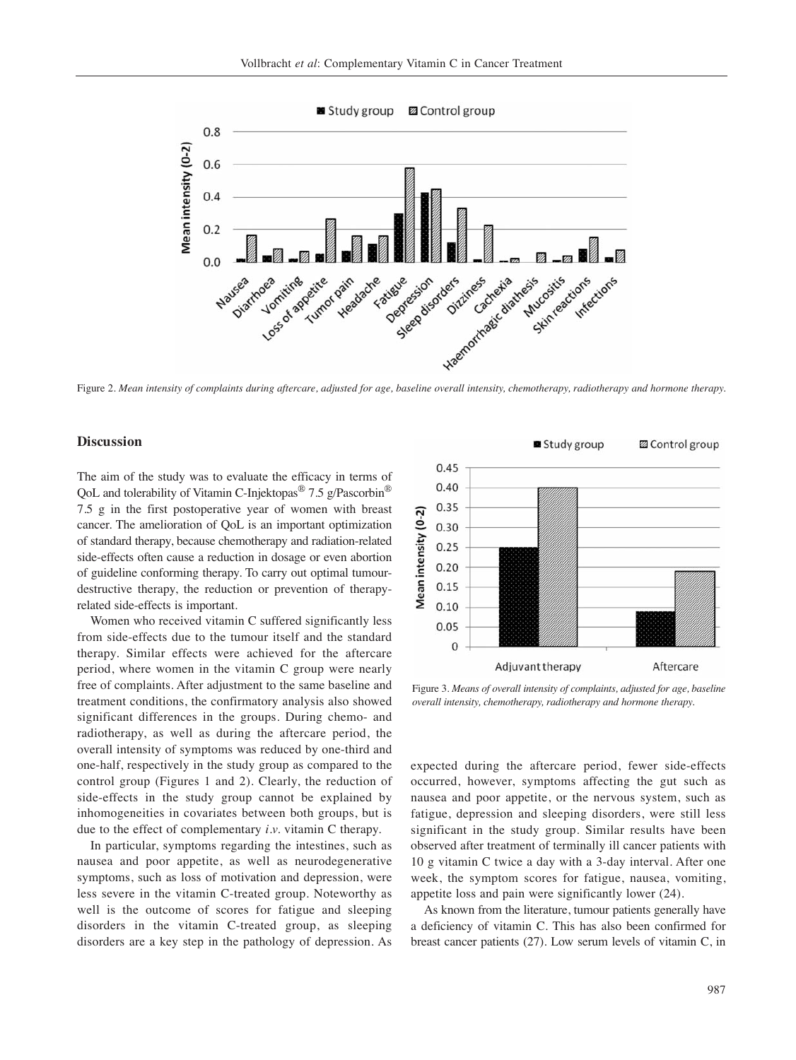

## **Discussion**

The aim of the study was to evaluate the efficacy in terms of QoL and tolerability of Vitamin C-Injektopas<sup>®</sup> 7.5 g/Pascorbin<sup>®</sup> 7.5 g in the first postoperative year of women with breast cancer. The amelioration of QoL is an important optimization of standard therapy, because chemotherapy and radiation-related side-effects often cause a reduction in dosage or even abortion of guideline conforming therapy. To carry out optimal tumourdestructive therapy, the reduction or prevention of therapyrelated side-effects is important.

Women who received vitamin C suffered significantly less from side-effects due to the tumour itself and the standard therapy. Similar effects were achieved for the aftercare period, where women in the vitamin C group were nearly free of complaints. After adjustment to the same baseline and treatment conditions, the confirmatory analysis also showed significant differences in the groups. During chemo- and radiotherapy, as well as during the aftercare period, the overall intensity of symptoms was reduced by one-third and one-half, respectively in the study group as compared to the control group (Figures 1 and 2). Clearly, the reduction of side-effects in the study group cannot be explained by inhomogeneities in covariates between both groups, but is due to the effect of complementary *i.v.* vitamin C therapy.

In particular, symptoms regarding the intestines, such as nausea and poor appetite, as well as neurodegenerative symptoms, such as loss of motivation and depression, were less severe in the vitamin C-treated group. Noteworthy as well is the outcome of scores for fatigue and sleeping disorders in the vitamin C-treated group, as sleeping disorders are a key step in the pathology of depression. As



Figure 3. *Means of overall intensity of complaints, adjusted for age, baseline overall intensity, chemotherapy, radiotherapy and hormone therapy.*

expected during the aftercare period, fewer side-effects occurred, however, symptoms affecting the gut such as nausea and poor appetite, or the nervous system, such as fatigue, depression and sleeping disorders, were still less significant in the study group. Similar results have been observed after treatment of terminally ill cancer patients with 10 g vitamin C twice a day with a 3-day interval. After one week, the symptom scores for fatigue, nausea, vomiting, appetite loss and pain were significantly lower (24).

As known from the literature, tumour patients generally have a deficiency of vitamin C. This has also been confirmed for breast cancer patients (27). Low serum levels of vitamin C, in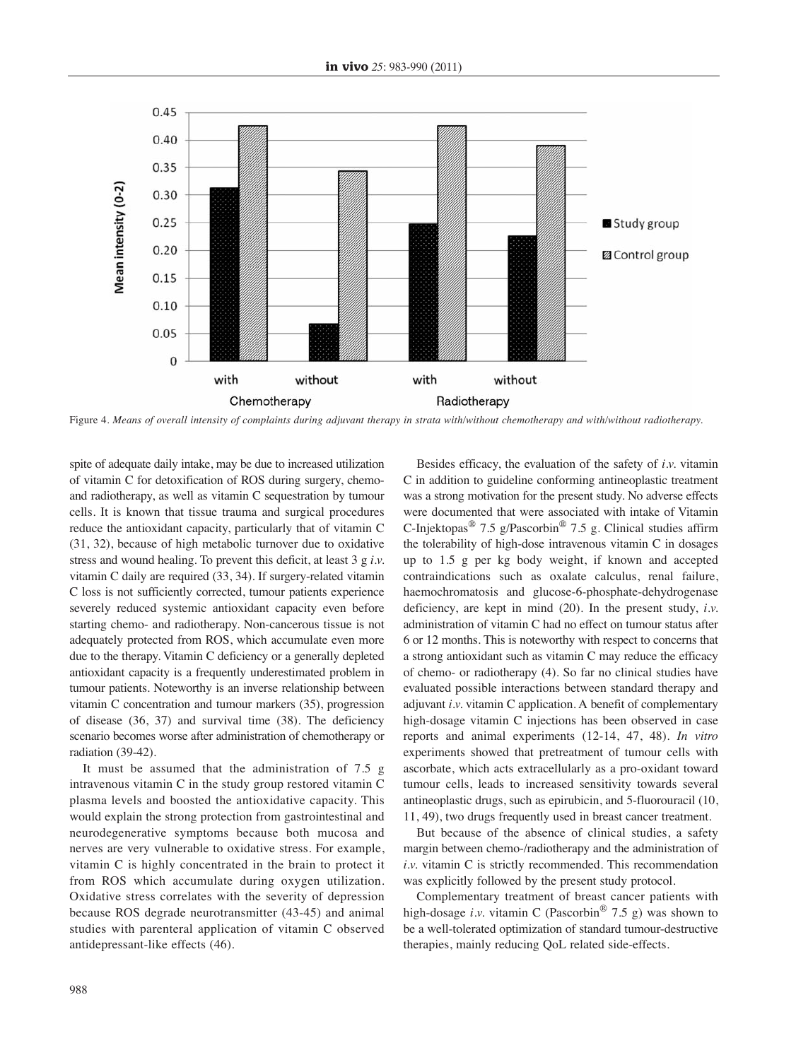

Figure 4. *Means of overall intensity of complaints during adjuvant therapy in strata with/without chemotherapy and with/without radiotherapy.*

spite of adequate daily intake, may be due to increased utilization of vitamin C for detoxification of ROS during surgery, chemoand radiotherapy, as well as vitamin C sequestration by tumour cells. It is known that tissue trauma and surgical procedures reduce the antioxidant capacity, particularly that of vitamin C (31, 32), because of high metabolic turnover due to oxidative stress and wound healing. To prevent this deficit, at least 3 g *i.v.* vitamin C daily are required (33, 34). If surgery-related vitamin C loss is not sufficiently corrected, tumour patients experience severely reduced systemic antioxidant capacity even before starting chemo- and radiotherapy. Non-cancerous tissue is not adequately protected from ROS, which accumulate even more due to the therapy. Vitamin C deficiency or a generally depleted antioxidant capacity is a frequently underestimated problem in tumour patients. Noteworthy is an inverse relationship between vitamin C concentration and tumour markers (35), progression of disease (36, 37) and survival time (38). The deficiency scenario becomes worse after administration of chemotherapy or radiation (39-42).

It must be assumed that the administration of 7.5 g intravenous vitamin C in the study group restored vitamin C plasma levels and boosted the antioxidative capacity. This would explain the strong protection from gastrointestinal and neurodegenerative symptoms because both mucosa and nerves are very vulnerable to oxidative stress. For example, vitamin C is highly concentrated in the brain to protect it from ROS which accumulate during oxygen utilization. Oxidative stress correlates with the severity of depression because ROS degrade neurotransmitter (43-45) and animal studies with parenteral application of vitamin C observed antidepressant-like effects (46).

Besides efficacy, the evaluation of the safety of *i.v.* vitamin C in addition to guideline conforming antineoplastic treatment was a strong motivation for the present study. No adverse effects were documented that were associated with intake of Vitamin C-Injektopas<sup>®</sup> 7.5 g/Pascorbin<sup>®</sup> 7.5 g. Clinical studies affirm the tolerability of high-dose intravenous vitamin C in dosages up to 1.5 g per kg body weight, if known and accepted contraindications such as oxalate calculus, renal failure, haemochromatosis and glucose-6-phosphate-dehydrogenase deficiency, are kept in mind (20). In the present study, *i.v.* administration of vitamin C had no effect on tumour status after 6 or 12 months. This is noteworthy with respect to concerns that a strong antioxidant such as vitamin C may reduce the efficacy of chemo- or radiotherapy (4). So far no clinical studies have evaluated possible interactions between standard therapy and adjuvant *i.v.* vitamin C application. A benefit of complementary high-dosage vitamin C injections has been observed in case reports and animal experiments (12-14, 47, 48). *In vitro* experiments showed that pretreatment of tumour cells with ascorbate, which acts extracellularly as a pro-oxidant toward tumour cells, leads to increased sensitivity towards several antineoplastic drugs, such as epirubicin, and 5-fluorouracil (10, 11, 49), two drugs frequently used in breast cancer treatment.

But because of the absence of clinical studies, a safety margin between chemo-/radiotherapy and the administration of *i.v.* vitamin C is strictly recommended. This recommendation was explicitly followed by the present study protocol.

Complementary treatment of breast cancer patients with high-dosage *i.v.* vitamin C (Pascorbin<sup>®</sup> 7.5 g) was shown to be a well-tolerated optimization of standard tumour-destructive therapies, mainly reducing QoL related side-effects.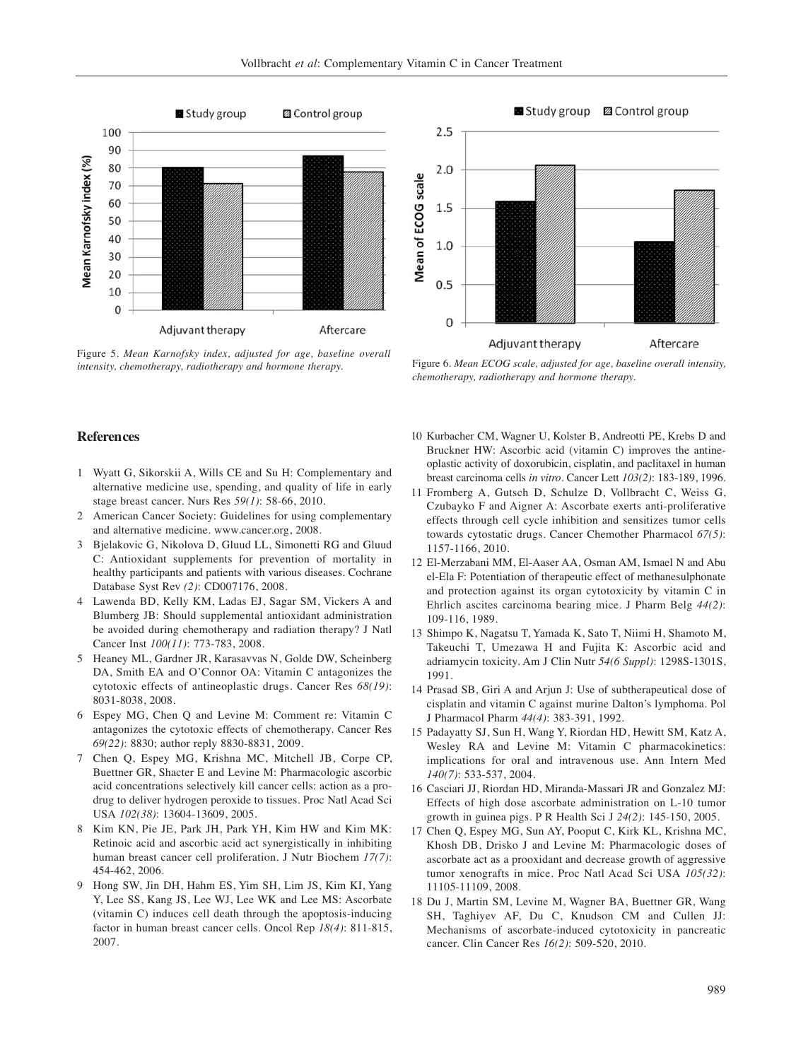

Figure 5. *Mean Karnofsky index, adjusted for age, baseline overall intensity, chemotherapy, radiotherapy and hormone therapy.* Figure 6. *Mean ECOG scale, adjusted for age, baseline overall intensity,*



*chemotherapy, radiotherapy and hormone therapy.*

## **References**

- 1 Wyatt G, Sikorskii A, Wills CE and Su H: Complementary and alternative medicine use, spending, and quality of life in early stage breast cancer. Nurs Res *59(1)*: 58-66, 2010.
- 2 American Cancer Society: Guidelines for using complementary and alternative medicine. www.cancer.org, 2008.
- 3 Bjelakovic G, Nikolova D, Gluud LL, Simonetti RG and Gluud C: Antioxidant supplements for prevention of mortality in healthy participants and patients with various diseases. Cochrane Database Syst Rev *(2)*: CD007176, 2008.
- 4 Lawenda BD, Kelly KM, Ladas EJ, Sagar SM, Vickers A and Blumberg JB: Should supplemental antioxidant administration be avoided during chemotherapy and radiation therapy? J Natl Cancer Inst *100(11)*: 773-783, 2008.
- 5 Heaney ML, Gardner JR, Karasavvas N, Golde DW, Scheinberg DA, Smith EA and O'Connor OA: Vitamin C antagonizes the cytotoxic effects of antineoplastic drugs. Cancer Res *68(19)*: 8031-8038, 2008.
- 6 Espey MG, Chen Q and Levine M: Comment re: Vitamin C antagonizes the cytotoxic effects of chemotherapy. Cancer Res *69(22)*: 8830; author reply 8830-8831, 2009.
- 7 Chen Q, Espey MG, Krishna MC, Mitchell JB, Corpe CP, Buettner GR, Shacter E and Levine M: Pharmacologic ascorbic acid concentrations selectively kill cancer cells: action as a prodrug to deliver hydrogen peroxide to tissues. Proc Natl Acad Sci USA *102(38)*: 13604-13609, 2005.
- 8 Kim KN, Pie JE, Park JH, Park YH, Kim HW and Kim MK: Retinoic acid and ascorbic acid act synergistically in inhibiting human breast cancer cell proliferation. J Nutr Biochem *17(7)*: 454-462, 2006.
- 9 Hong SW, Jin DH, Hahm ES, Yim SH, Lim JS, Kim KI, Yang Y, Lee SS, Kang JS, Lee WJ, Lee WK and Lee MS: Ascorbate (vitamin C) induces cell death through the apoptosis-inducing factor in human breast cancer cells. Oncol Rep *18(4)*: 811-815, 2007.
- 10 Kurbacher CM, Wagner U, Kolster B, Andreotti PE, Krebs D and Bruckner HW: Ascorbic acid (vitamin C) improves the antineoplastic activity of doxorubicin, cisplatin, and paclitaxel in human breast carcinoma cells *in vitro*. Cancer Lett *103(2)*: 183-189, 1996.
- 11 Fromberg A, Gutsch D, Schulze D, Vollbracht C, Weiss G, Czubayko F and Aigner A: Ascorbate exerts anti-proliferative effects through cell cycle inhibition and sensitizes tumor cells towards cytostatic drugs. Cancer Chemother Pharmacol *67(5)*: 1157-1166, 2010.
- 12 El-Merzabani MM, El-Aaser AA, Osman AM, Ismael N and Abu el-Ela F: Potentiation of therapeutic effect of methanesulphonate and protection against its organ cytotoxicity by vitamin C in Ehrlich ascites carcinoma bearing mice. J Pharm Belg *44(2)*: 109-116, 1989.
- 13 Shimpo K, Nagatsu T, Yamada K, Sato T, Niimi H, Shamoto M, Takeuchi T, Umezawa H and Fujita K: Ascorbic acid and adriamycin toxicity. Am J Clin Nutr *54(6 Suppl)*: 1298S-1301S, 1991.
- 14 Prasad SB, Giri A and Arjun J: Use of subtherapeutical dose of cisplatin and vitamin C against murine Dalton's lymphoma. Pol J Pharmacol Pharm *44(4)*: 383-391, 1992.
- 15 Padayatty SJ, Sun H, Wang Y, Riordan HD, Hewitt SM, Katz A, Wesley RA and Levine M: Vitamin C pharmacokinetics: implications for oral and intravenous use. Ann Intern Med *140(7)*: 533-537, 2004.
- 16 Casciari JJ, Riordan HD, Miranda-Massari JR and Gonzalez MJ: Effects of high dose ascorbate administration on L-10 tumor growth in guinea pigs. P R Health Sci J *24(2)*: 145-150, 2005.
- 17 Chen Q, Espey MG, Sun AY, Pooput C, Kirk KL, Krishna MC, Khosh DB, Drisko J and Levine M: Pharmacologic doses of ascorbate act as a prooxidant and decrease growth of aggressive tumor xenografts in mice. Proc Natl Acad Sci USA *105(32)*: 11105-11109, 2008.
- 18 Du J, Martin SM, Levine M, Wagner BA, Buettner GR, Wang SH, Taghiyev AF, Du C, Knudson CM and Cullen JJ: Mechanisms of ascorbate-induced cytotoxicity in pancreatic cancer. Clin Cancer Res *16(2)*: 509-520, 2010.